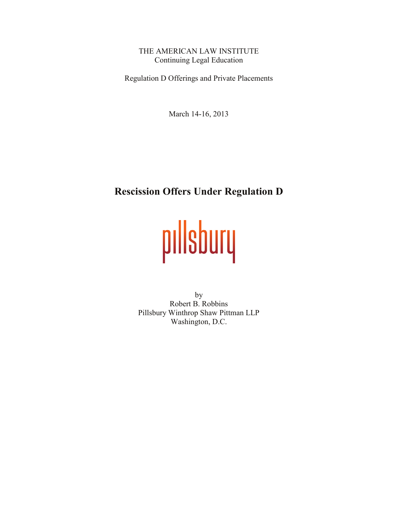THE AMERICAN LAW INSTITUTE Continuing Legal Education

Regulation D Offerings and Private Placements

March 14-16, 2013

# **Rescission Offers Under Regulation D**

# pillsbury

by Robert B. Robbins Pillsbury Winthrop Shaw Pittman LLP Washington, D.C.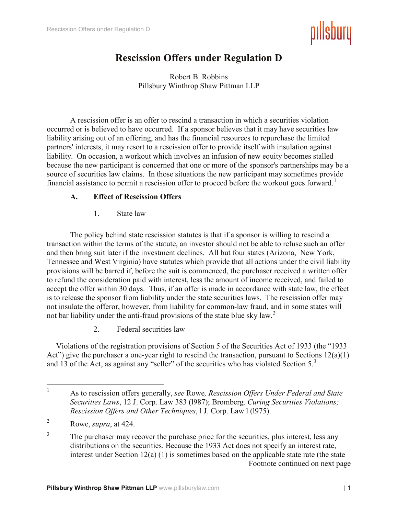

## **Rescission Offers under Regulation D**

Robert B. Robbins Pillsbury Winthrop Shaw Pittman LLP

A rescission offer is an offer to rescind a transaction in which a securities violation occurred or is believed to have occurred. If a sponsor believes that it may have securities law liability arising out of an offering, and has the financial resources to repurchase the limited partners' interests, it may resort to a rescission offer to provide itself with insulation against liability. On occasion, a workout which involves an infusion of new equity becomes stalled because the new participant is concerned that one or more of the sponsor's partnerships may be a source of securities law claims. In those situations the new participant may sometimes provide financial assistance to permit a rescission offer to proceed before the workout goes forward.<sup>[1](#page-1-0)</sup>

## **A. Effect of Rescission Offers**

1. State law

The policy behind state rescission statutes is that if a sponsor is willing to rescind a transaction within the terms of the statute, an investor should not be able to refuse such an offer and then bring suit later if the investment declines. All but four states (Arizona, New York, Tennessee and West Virginia) have statutes which provide that all actions under the civil liability provisions will be barred if, before the suit is commenced, the purchaser received a written offer to refund the consideration paid with interest, less the amount of income received, and failed to accept the offer within 30 days. Thus, if an offer is made in accordance with state law, the effect is to release the sponsor from liability under the state securities laws. The rescission offer may not insulate the offeror, however, from liability for common-law fraud, and in some states will not bar liability under the anti-fraud provisions of the state blue sky law.<sup>[2](#page-1-1)</sup>

2. Federal securities law

Violations of the registration provisions of Section 5 of the Securities Act of 1933 (the "1933 Act") give the purchaser a one-year right to rescind the transaction, pursuant to Sections 12(a)(1) and 13 of the Act, as against any "seller" of the securities who has violated Section 5.[3](#page-1-2)

<span id="page-1-0"></span> <sup>1</sup> As to rescission offers generally, *see* Rowe*, Rescission Offers Under Federal and State Securities Laws*, 12 J. Corp. Law 383 (l987); Bromberg*, Curing Securities Violations; Rescission Offers and Other Techniques*, l J. Corp. Law l (l975).

<span id="page-1-1"></span><sup>2</sup> Rowe, *supra*, at 424.

<span id="page-1-2"></span><sup>&</sup>lt;sup>3</sup> The purchaser may recover the purchase price for the securities, plus interest, less any distributions on the securities. Because the 1933 Act does not specify an interest rate, interest under Section 12(a) (1) is sometimes based on the applicable state rate (the state Footnote continued on next page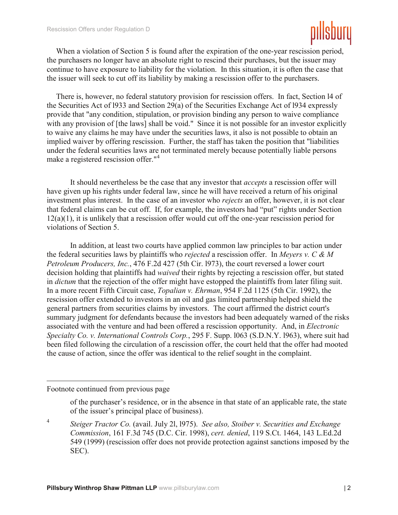

When a violation of Section 5 is found after the expiration of the one-year rescission period, the purchasers no longer have an absolute right to rescind their purchases, but the issuer may continue to have exposure to liability for the violation. In this situation, it is often the case that the issuer will seek to cut off its liability by making a rescission offer to the purchasers.

There is, however, no federal statutory provision for rescission offers. In fact, Section l4 of the Securities Act of l933 and Section 29(a) of the Securities Exchange Act of l934 expressly provide that "any condition, stipulation, or provision binding any person to waive compliance with any provision of [the laws] shall be void." Since it is not possible for an investor explicitly to waive any claims he may have under the securities laws, it also is not possible to obtain an implied waiver by offering rescission. Further, the staff has taken the position that "liabilities under the federal securities laws are not terminated merely because potentially liable persons make a registered rescission offer."<sup>[4](#page-2-0)</sup>

It should nevertheless be the case that any investor that *accepts* a rescission offer will have given up his rights under federal law, since he will have received a return of his original investment plus interest. In the case of an investor who *rejects* an offer, however, it is not clear that federal claims can be cut off. If, for example, the investors had "put" rights under Section 12(a)(1), it is unlikely that a rescission offer would cut off the one-year rescission period for violations of Section 5.

In addition, at least two courts have applied common law principles to bar action under the federal securities laws by plaintiffs who *rejected* a rescission offer. In *Meyers v. C & M Petroleum Producers, Inc.*, 476 F.2d 427 (5th Cir. l973), the court reversed a lower court decision holding that plaintiffs had *waived* their rights by rejecting a rescission offer, but stated in *dictum* that the rejection of the offer might have estopped the plaintiffs from later filing suit. In a more recent Fifth Circuit case, *Topalian v. Ehrman*, 954 F.2d 1125 (5th Cir. 1992), the rescission offer extended to investors in an oil and gas limited partnership helped shield the general partners from securities claims by investors. The court affirmed the district court's summary judgment for defendants because the investors had been adequately warned of the risks associated with the venture and had been offered a rescission opportunity. And, in *Electronic Specialty Co. v. International Controls Corp.*, 295 F. Supp. l063 (S.D.N.Y. l963), where suit had been filed following the circulation of a rescission offer, the court held that the offer had mooted the cause of action, since the offer was identical to the relief sought in the complaint.

#### Footnote continued from previous page

 $\overline{a}$ 

of the purchaser's residence, or in the absence in that state of an applicable rate, the state of the issuer's principal place of business).

<span id="page-2-0"></span><sup>4</sup> *Steiger Tractor Co.* (avail. July 2l, l975). *See also, Stoiber v. Securities and Exchange Commission*, 161 F.3d 745 (D.C. Cir. 1998), *cert. denied*, 119 S.Ct. 1464, 143 L.Ed.2d 549 (1999) (rescission offer does not provide protection against sanctions imposed by the SEC).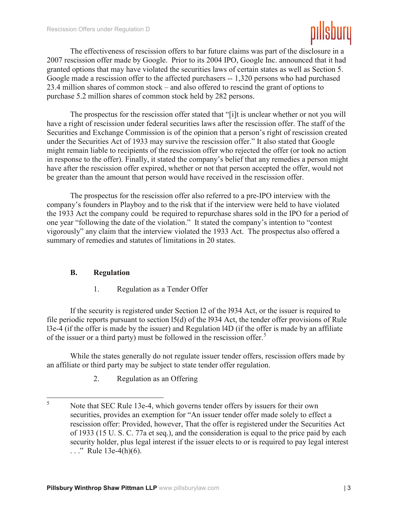

The effectiveness of rescission offers to bar future claims was part of the disclosure in a 2007 rescission offer made by Google. Prior to its 2004 IPO, Google Inc. announced that it had granted options that may have violated the securities laws of certain states as well as Section 5. Google made a rescission offer to the affected purchasers -- 1,320 persons who had purchased 23.4 million shares of common stock – and also offered to rescind the grant of options to purchase 5.2 million shares of common stock held by 282 persons.

The prospectus for the rescission offer stated that "[i]t is unclear whether or not you will have a right of rescission under federal securities laws after the rescission offer. The staff of the Securities and Exchange Commission is of the opinion that a person's right of rescission created under the Securities Act of 1933 may survive the rescission offer." It also stated that Google might remain liable to recipients of the rescission offer who rejected the offer (or took no action in response to the offer). Finally, it stated the company's belief that any remedies a person might have after the rescission offer expired, whether or not that person accepted the offer, would not be greater than the amount that person would have received in the rescission offer.

The prospectus for the rescission offer also referred to a pre-IPO interview with the company's founders in Playboy and to the risk that if the interview were held to have violated the 1933 Act the company could be required to repurchase shares sold in the IPO for a period of one year "following the date of the violation." It stated the company's intention to "contest vigorously" any claim that the interview violated the 1933 Act. The prospectus also offered a summary of remedies and statutes of limitations in 20 states.

#### **B. Regulation**

1. Regulation as a Tender Offer

If the security is registered under Section l2 of the l934 Act, or the issuer is required to file periodic reports pursuant to section l5(d) of the l934 Act, the tender offer provisions of Rule l3e-4 (if the offer is made by the issuer) and Regulation l4D (if the offer is made by an affiliate of the issuer or a third party) must be followed in the rescission offer.<sup>[5](#page-3-0)</sup>

While the states generally do not regulate issuer tender offers, rescission offers made by an affiliate or third party may be subject to state tender offer regulation.

2. Regulation as an Offering

<span id="page-3-0"></span><sup>&</sup>lt;sup>5</sup> Note that SEC Rule 13e-4, which governs tender offers by issuers for their own securities, provides an exemption for "An issuer tender offer made solely to effect a rescission offer: Provided, however, That the offer is registered under the Securities Act of 1933 (15 U. S. C. 77a et seq.), and the consideration is equal to the price paid by each security holder, plus legal interest if the issuer elects to or is required to pay legal interest  $\ldots$ ." Rule 13e-4(h)(6).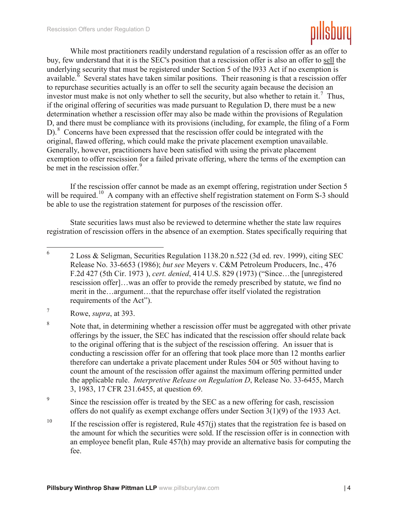

While most practitioners readily understand regulation of a rescission offer as an offer to buy, few understand that it is the SEC's position that a rescission offer is also an offer to sell the underlying security that must be registered under Section 5 of the l933 Act if no exemption is available.<sup> $\delta$ </sup> Several states have taken similar positions. Their reasoning is that a rescission offer to repurchase securities actually is an offer to sell the security again because the decision an investor must make is not only whether to sell the security, but also whether to retain it.<sup>[7](#page-4-1)</sup> Thus, if the original offering of securities was made pursuant to Regulation D, there must be a new determination whether a rescission offer may also be made within the provisions of Regulation D, and there must be compliance with its provisions (including, for example, the filing of a Form D).<sup>[8](#page-4-2)</sup> Concerns have been expressed that the rescission offer could be integrated with the original, flawed offering, which could make the private placement exemption unavailable. Generally, however, practitioners have been satisfied with using the private placement exemption to offer rescission for a failed private offering, where the terms of the exemption can be met in the rescission offer.<sup>[9](#page-4-3)</sup>

If the rescission offer cannot be made as an exempt offering, registration under Section 5 will be required.<sup>10</sup> A company with an effective shelf registration statement on Form S-3 should be able to use the registration statement for purposes of the rescission offer.

State securities laws must also be reviewed to determine whether the state law requires registration of rescission offers in the absence of an exemption. States specifically requiring that

<span id="page-4-3"></span><sup>9</sup> Since the rescission offer is treated by the SEC as a new offering for cash, rescission offers do not qualify as exempt exchange offers under Section 3(1)(9) of the 1933 Act.

<span id="page-4-0"></span> <sup>6</sup> 2 Loss & Seligman, Securities Regulation 1138.20 n.522 (3d ed. rev. 1999), citing SEC Release No. 33-6653 (1986); *but see* Meyers v. C&M Petroleum Producers, Inc., 476 F.2d 427 (5th Cir. 1973 ), *cert. denied*, 414 U.S. 829 (1973) ("Since…the [unregistered rescission offer]…was an offer to provide the remedy prescribed by statute, we find no merit in the…argument…that the repurchase offer itself violated the registration requirements of the Act").

<span id="page-4-1"></span><sup>7</sup> Rowe, *supra*, at 393.

<span id="page-4-2"></span><sup>&</sup>lt;sup>8</sup> Note that, in determining whether a rescission offer must be aggregated with other private offerings by the issuer, the SEC has indicated that the rescission offer should relate back to the original offering that is the subject of the rescission offering. An issuer that is conducting a rescission offer for an offering that took place more than 12 months earlier therefore can undertake a private placement under Rules 504 or 505 without having to count the amount of the rescission offer against the maximum offering permitted under the applicable rule. *Interpretive Release on Regulation D*, Release No. 33-6455, March 3, 1983, 17 CFR 231.6455, at question 69.

<span id="page-4-4"></span><sup>&</sup>lt;sup>10</sup> If the rescission offer is registered, Rule  $457(i)$  states that the registration fee is based on the amount for which the securities were sold. If the rescission offer is in connection with an employee benefit plan, Rule 457(h) may provide an alternative basis for computing the fee.